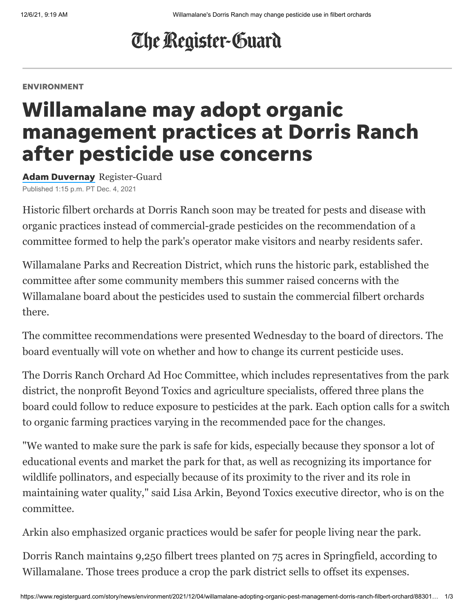## The Register-Guard

## ENVIRONMENT

## Willamalane may adopt organic management practices at Dorris Ranch after pesticide use concerns

Adam [Duvernay](https://www.registerguard.com/staff/3392076001/adam-duvernay/) Register-Guard Published 1:15 p.m. PT Dec. 4, 2021

Historic filbert orchards at Dorris Ranch soon may be treated for pests and disease with organic practices instead of commercial-grade pesticides on the recommendation of a committee formed to help the park's operator make visitors and nearby residents safer.

Willamalane Parks and Recreation District, which runs the historic park, established the committee after [some community members this summer raised concerns](https://www.registerguard.com/story/news/2021/10/08/commercial-grade-pesticide-use-at-dorris-ranch-orchard-under-scrutiny-willamalane-park-springfield/5921609001/) with the Willamalane board about the pesticides used to sustain the commercial filbert orchards there.

The committee recommendations were presented Wednesday to the board of directors. The board eventually will vote on whether and how to change its current pesticide uses.

The Dorris Ranch Orchard Ad Hoc Committee, which includes representatives from the park district, the nonprofit Beyond Toxics and agriculture specialists, offered three plans the board could follow to reduce exposure to pesticides at the park. Each option calls for a switch to organic farming practices varying in the recommended pace for the changes.

"We wanted to make sure the park is safe for kids, especially because they sponsor a lot of educational events and market the park for that, as well as recognizing its importance for wildlife pollinators, and especially because of its proximity to the river and its role in maintaining water quality," said Lisa Arkin, Beyond Toxics executive director, who is on the committee.

Arkin also emphasized organic practices would be safer for people living near the park.

Dorris Ranch maintains 9,250 filbert trees planted on 75 acres in Springfield, according to Willamalane. Those trees produce a crop the park district sells to offset its expenses.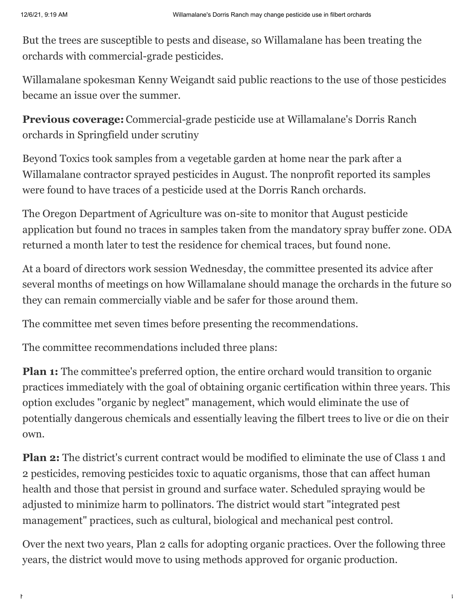But the trees are susceptible to pests and disease, so Willamalane has been treating the orchards with commercial-grade pesticides.

Willamalane spokesman Kenny Weigandt said public reactions to the use of those pesticides became an issue over the summer.

**Previous coverage:** [Commercial-grade pesticide use at Willamalane's Dorris Ranch](https://www.registerguard.com/story/news/2021/10/08/commercial-grade-pesticide-use-at-dorris-ranch-orchard-under-scrutiny-willamalane-park-springfield/5921609001/) orchards in Springfield under scrutiny

Beyond Toxics took samples from a vegetable garden at home near the park after a Willamalane contractor sprayed pesticides in August. The nonprofit reported its samples were found to have traces of a pesticide used at the Dorris Ranch orchards.

The Oregon Department of Agriculture was on-site to monitor that August pesticide application but found no traces in samples taken from the mandatory spray buffer zone. ODA returned a month later to test the residence for chemical traces, but found none.

At a board of directors work session Wednesday, the committee presented its advice after several months of meetings on how Willamalane should manage the orchards in the future so they can remain commercially viable and be safer for those around them.

The committee met seven times before presenting the recommendations.

The committee recommendations included three plans:

**Plan 1:** The committee's preferred option, the entire orchard would transition to organic practices immediately with the goal of obtaining organic certification within three years. This option excludes "organic by neglect" management, which would eliminate the use of potentially dangerous chemicals and essentially leaving the filbert trees to live or die on their own.

**Plan 2:** The district's current contract would be modified to eliminate the use of Class 1 and 2 pesticides, removing pesticides toxic to aquatic organisms, those that can affect human health and those that persist in ground and surface water. Scheduled spraying would be adjusted to minimize harm to pollinators. The district would start "integrated pest management" practices, such as cultural, biological and mechanical pest control.

Over the next two years, Plan 2 calls for adopting organic practices. Over the following three years, the district would move to using methods approved for organic production.